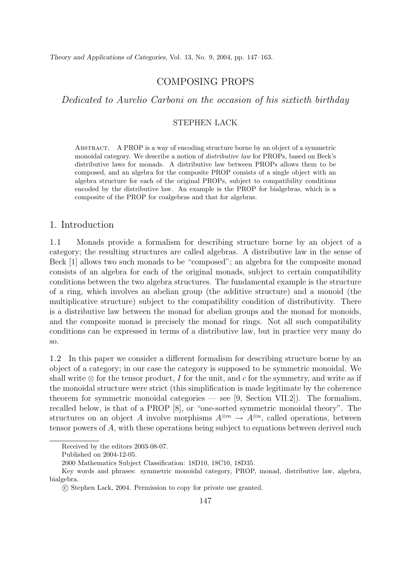Dedicated to Aurelio Carboni on the occasion of his sixtieth birthday

## STEPHEN LACK

Abstract. A PROP is a way of encoding structure borne by an object of a symmetric monoidal category. We describe a notion of *distributive law* for PROPs, based on Beck's distributive laws for monads. A distributive law between PROPs allows them to be composed, and an algebra for the composite PROP consists of a single object with an algebra structure for each of the original PROPs, subject to compatibility conditions encoded by the distributive law. An example is the PROP for bialgebras, which is a composite of the PROP for coalgebras and that for algebras.

# 1. Introduction

1.1 Monads provide a formalism for describing structure borne by an object of a category; the resulting structures are called algebras. A distributive law in the sense of Beck [1] allows two such monads to be "composed"; an algebra for the composite monad consists of an algebra for each of the original monads, subject to certain compatibility conditions between the two algebra structures. The fundamental example is the structure of a ring, which involves an abelian group (the additive structure) and a monoid (the multiplicative structure) subject to the compatibility condition of distributivity. There is a distributive law between the monad for abelian groups and the monad for monoids, and the composite monad is precisely the monad for rings. Not all such compatibility conditions can be expressed in terms of a distributive law, but in practice very many do so.

1.2 In this paper we consider a different formalism for describing structure borne by an object of a category; in our case the category is supposed to be symmetric monoidal. We shall write  $\otimes$  for the tensor product, I for the unit, and c for the symmetry, and write as if the monoidal structure were strict (this simplification is made legitimate by the coherence theorem for symmetric monoidal categories — see [9, Section VII.2]). The formalism, recalled below, is that of a PROP [8], or "one-sorted symmetric monoidal theory". The structures on an object A involve morphisms  $A^{\otimes m} \to A^{\otimes n}$ , called operations, between tensor powers of A, with these operations being subject to equations between derived such

Received by the editors 2003-08-07.

Published on 2004-12-05.

<sup>2000</sup> Mathematics Subject Classification: 18D10, 18C10, 18D35.

Key words and phrases: symmetric monoidal category, PROP, monad, distributive law, algebra, bialgebra.

c Stephen Lack, 2004. Permission to copy for private use granted.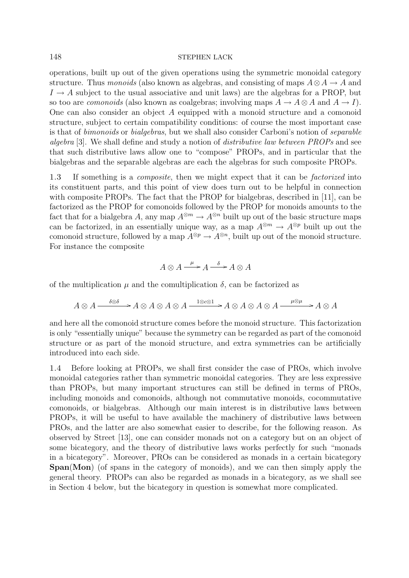operations, built up out of the given operations using the symmetric monoidal category structure. Thus *monoids* (also known as algebras, and consisting of maps  $A \otimes A \rightarrow A$  and  $I \rightarrow A$  subject to the usual associative and unit laws) are the algebras for a PROP, but so too are *comonoids* (also known as coalgebras; involving maps  $A \to A \otimes A$  and  $A \to I$ ). One can also consider an object A equipped with a monoid structure and a comonoid structure, subject to certain compatibility conditions: of course the most important case is that of bimonoids or bialgebras, but we shall also consider Carboni's notion of separable algebra [3]. We shall define and study a notion of distributive law between PROPs and see that such distributive laws allow one to "compose" PROPs, and in particular that the bialgebras and the separable algebras are each the algebras for such composite PROPs.

1.3 If something is a composite, then we might expect that it can be factorized into its constituent parts, and this point of view does turn out to be helpful in connection with composite PROPs. The fact that the PROP for bialgebras, described in [11], can be factorized as the PROP for comonoids followed by the PROP for monoids amounts to the fact that for a bialgebra A, any map  $A^{\otimes m} \to A^{\otimes n}$  built up out of the basic structure maps can be factorized, in an essentially unique way, as a map  $A^{\otimes m} \to A^{\otimes p}$  built up out the comonoid structure, followed by a map  $A^{\otimes p} \to A^{\otimes n}$ , built up out of the monoid structure. For instance the composite

$$
A \otimes A \xrightarrow{\mu} A \xrightarrow{\delta} A \otimes A
$$

of the multiplication  $\mu$  and the comultiplication  $\delta$ , can be factorized as

$$
A \otimes A \xrightarrow{\delta \otimes \delta} A \otimes A \otimes A \otimes A \xrightarrow{1 \otimes c \otimes 1} A \otimes A \otimes A \otimes A \xrightarrow{\mu \otimes \mu} A \otimes A
$$

and here all the comonoid structure comes before the monoid structure. This factorization is only "essentially unique" because the symmetry can be regarded as part of the comonoid structure or as part of the monoid structure, and extra symmetries can be artificially introduced into each side.

1.4 Before looking at PROPs, we shall first consider the case of PROs, which involve monoidal categories rather than symmetric monoidal categories. They are less expressive than PROPs, but many important structures can still be defined in terms of PROs, including monoids and comonoids, although not commutative monoids, cocommutative comonoids, or bialgebras. Although our main interest is in distributive laws between PROPs, it will be useful to have available the machinery of distributive laws between PROs, and the latter are also somewhat easier to describe, for the following reason. As observed by Street [13], one can consider monads not on a category but on an object of some bicategory, and the theory of distributive laws works perfectly for such "monads in a bicategory". Moreover, PROs can be considered as monads in a certain bicategory **Span**(**Mon**) (of spans in the category of monoids), and we can then simply apply the general theory. PROPs can also be regarded as monads in a bicategory, as we shall see in Section 4 below, but the bicategory in question is somewhat more complicated.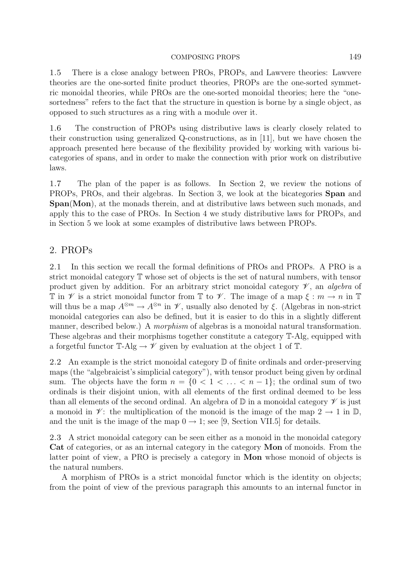1.5 There is a close analogy between PROs, PROPs, and Lawvere theories: Lawvere theories are the one-sorted finite product theories, PROPs are the one-sorted symmetric monoidal theories, while PROs are the one-sorted monoidal theories; here the "onesortedness" refers to the fact that the structure in question is borne by a single object, as opposed to such structures as a ring with a module over it.

1.6 The construction of PROPs using distributive laws is clearly closely related to their construction using generalized Q-constructions, as in [11], but we have chosen the approach presented here because of the flexibility provided by working with various bicategories of spans, and in order to make the connection with prior work on distributive laws.

1.7 The plan of the paper is as follows. In Section 2, we review the notions of PROPs, PROs, and their algebras. In Section 3, we look at the bicategories **Span** and **Span**(**Mon**), at the monads therein, and at distributive laws between such monads, and apply this to the case of PROs. In Section 4 we study distributive laws for PROPs, and in Section 5 we look at some examples of distributive laws between PROPs.

# 2. PROPs

2.1 In this section we recall the formal definitions of PROs and PROPs. A PRO is a strict monoidal category T whose set of objects is the set of natural numbers, with tensor product given by addition. For an arbitrary strict monoidal category  $\mathscr V$ , an algebra of T in  $\mathscr V$  is a strict monoidal functor from T to  $\mathscr V$ . The image of a map  $\xi : m \to n$  in T will thus be a map  $A^{\otimes m} \to A^{\otimes n}$  in  $\mathscr{V}$ , usually also denoted by  $\xi$ . (Algebras in non-strict monoidal categories can also be defined, but it is easier to do this in a slightly different manner, described below.) A morphism of algebras is a monoidal natural transformation. These algebras and their morphisms together constitute a category T-Alg, equipped with a forgetful functor  $\mathbb{T}$ -Alg  $\rightarrow \mathscr{V}$  given by evaluation at the object 1 of  $\mathbb{T}$ .

2.2 An example is the strict monoidal category  $\mathbb D$  of finite ordinals and order-preserving maps (the "algebraicist's simplicial category"), with tensor product being given by ordinal sum. The objects have the form  $n = \{0, 1, \ldots, n-1\}$ ; the ordinal sum of two ordinals is their disjoint union, with all elements of the first ordinal deemed to be less than all elements of the second ordinal. An algebra of  $\mathbb D$  in a monoidal category  $\mathscr V$  is just a monoid in  $\mathscr{V}$ : the multiplication of the monoid is the image of the map  $2 \to 1$  in  $\mathbb{D}$ , and the unit is the image of the map  $0 \rightarrow 1$ ; see [9, Section VII.5] for details.

2.3 A strict monoidal category can be seen either as a monoid in the monoidal category **Cat** of categories, or as an internal category in the category **Mon** of monoids. From the latter point of view, a PRO is precisely a category in **Mon** whose monoid of objects is the natural numbers.

A morphism of PROs is a strict monoidal functor which is the identity on objects; from the point of view of the previous paragraph this amounts to an internal functor in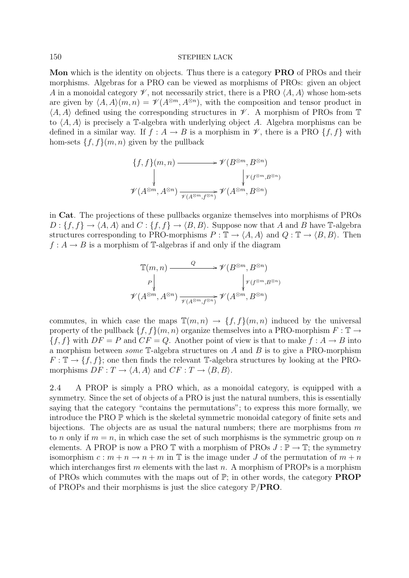**Mon** which is the identity on objects. Thus there is a category **PRO** of PROs and their morphisms. Algebras for a PRO can be viewed as morphisms of PROs: given an object A in a monoidal category  $\mathscr V$ , not necessarily strict, there is a PRO  $\langle A, A \rangle$  whose hom-sets are given by  $\langle A, A \rangle (m, n) = \mathcal{V}(A^{\otimes m}, A^{\otimes n})$ , with the composition and tensor product in  $\langle A, A \rangle$  defined using the corresponding structures in  $\mathscr V$ . A morphism of PROs from  $\mathbb T$ to  $\langle A, A \rangle$  is precisely a T-algebra with underlying object A. Algebra morphisms can be defined in a similar way. If  $f : A \to B$  is a morphism in  $\mathcal V$ , there is a PRO  $\{f, f\}$  with hom-sets  $\{f,f\}(m,n)$  given by the pullback

$$
\{f, f\}(m, n) \longrightarrow \mathscr{V}(B^{\otimes m}, B^{\otimes n})
$$
  
\$\downarrow\$  

$$
\mathscr{V}(A^{\otimes m}, A^{\otimes n}) \xrightarrow[\mathscr{V}(A^{\otimes m}, B^{\otimes n})]{} \mathscr{V}(A^{\otimes m}, B^{\otimes n})
$$

in **Cat**. The projections of these pullbacks organize themselves into morphisms of PROs  $D: \{f, f\} \to \langle A, A \rangle$  and  $C: \{f, f\} \to \langle B, B \rangle$ . Suppose now that A and B have T-algebra structures corresponding to PRO-morphisms  $P : \mathbb{T} \to \langle A, A \rangle$  and  $Q : \mathbb{T} \to \langle B, B \rangle$ . Then  $f: A \to B$  is a morphism of T-algebras if and only if the diagram

$$
\mathbb{T}(m,n) \longrightarrow \mathscr{V}(B^{\otimes m}, B^{\otimes n})
$$
\n
$$
\mathscr{V}(A^{\otimes m}, A^{\otimes n}) \longrightarrow \mathscr{V}(A^{\otimes m}, B^{\otimes n})
$$
\n
$$
\mathscr{V}(A^{\otimes m}, A^{\otimes n}) \longrightarrow \mathscr{V}(A^{\otimes m}, B^{\otimes n})
$$

commutes, in which case the maps  $\mathbb{T}(m, n) \to \{f, f\}(m, n)$  induced by the universal property of the pullback  $\{f,f\}(m,n)$  organize themselves into a PRO-morphism  $F : \mathbb{T} \to$  ${f, f}$  with  $DF = P$  and  $CF = Q$ . Another point of view is that to make  $f : A \to B$  into a morphism between *some*  $\mathbb{T}$ -algebra structures on A and B is to give a PRO-morphism  $F: \mathbb{T} \to \{f, f\}$ ; one then finds the relevant T-algebra structures by looking at the PROmorphisms  $DF: T \to \langle A, A \rangle$  and  $CF: T \to \langle B, B \rangle$ .

2.4 A PROP is simply a PRO which, as a monoidal category, is equipped with a symmetry. Since the set of objects of a PRO is just the natural numbers, this is essentially saying that the category "contains the permutations"; to express this more formally, we introduce the PRO P which is the skeletal symmetric monoidal category of finite sets and bijections. The objects are as usual the natural numbers; there are morphisms from  $m$ to n only if  $m = n$ , in which case the set of such morphisms is the symmetric group on n elements. A PROP is now a PRO  $\mathbb T$  with a morphism of PROs  $J : \mathbb P \to \mathbb T$ ; the symmetry isomorphism  $c : m + n \to n + m$  in T is the image under J of the permutation of  $m + n$ which interchanges first m elements with the last n. A morphism of PROPs is a morphism of PROs which commutes with the maps out of  $\mathbb{P}$ ; in other words, the category **PROP** of PROPs and their morphisms is just the slice category P/**PRO**.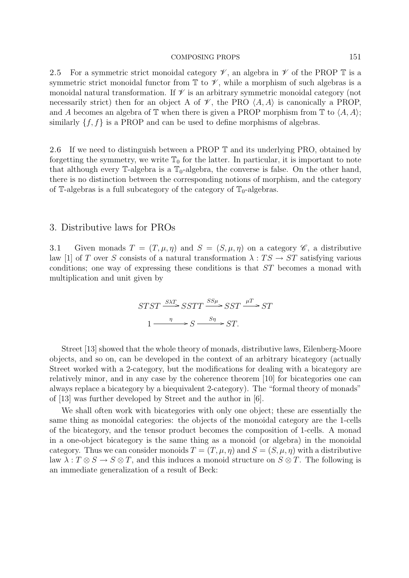2.5 For a symmetric strict monoidal category  $\mathscr V$ , an algebra in  $\mathscr V$  of the PROP  $\mathbb T$  is a symmetric strict monoidal functor from  $\mathbb T$  to  $\mathscr V$ , while a morphism of such algebras is a monoidal natural transformation. If  $\mathscr V$  is an arbitrary symmetric monoidal category (not necessarily strict) then for an object A of  $\mathscr V$ , the PRO  $\langle A, A \rangle$  is canonically a PROP, and A becomes an algebra of  $\mathbb T$  when there is given a PROP morphism from  $\mathbb T$  to  $\langle A, A \rangle$ ; similarly  $\{f, f\}$  is a PROP and can be used to define morphisms of algebras.

2.6 If we need to distinguish between a PROP  $\mathbb T$  and its underlying PRO, obtained by forgetting the symmetry, we write  $\mathbb{T}_0$  for the latter. In particular, it is important to note that although every  $\mathbb{T}$ -algebra is a  $\mathbb{T}_0$ -algebra, the converse is false. On the other hand, there is no distinction between the corresponding notions of morphism, and the category of T-algebras is a full subcategory of the category of  $\mathbb{T}_0$ -algebras.

### 3. Distributive laws for PROs

3.1 Given monads  $T = (T, \mu, \eta)$  and  $S = (S, \mu, \eta)$  on a category  $\mathscr{C}$ , a distributive law [1] of T over S consists of a natural transformation  $\lambda: TS \to ST$  satisfying various conditions; one way of expressing these conditions is that ST becomes a monad with multiplication and unit given by

$$
STST \xrightarrow{\text{SAT}} SSTT \xrightarrow{\text{SS}\mu} SST \xrightarrow{\mu T} ST
$$

$$
1 \xrightarrow{\eta} S \xrightarrow{\text{S}\eta} ST.
$$

Street [13] showed that the whole theory of monads, distributive laws, Eilenberg-Moore objects, and so on, can be developed in the context of an arbitrary bicategory (actually Street worked with a 2-category, but the modifications for dealing with a bicategory are relatively minor, and in any case by the coherence theorem [10] for bicategories one can always replace a bicategory by a biequivalent 2-category). The "formal theory of monads" of [13] was further developed by Street and the author in [6].

We shall often work with bicategories with only one object; these are essentially the same thing as monoidal categories: the objects of the monoidal category are the 1-cells of the bicategory, and the tensor product becomes the composition of 1-cells. A monad in a one-object bicategory is the same thing as a monoid (or algebra) in the monoidal category. Thus we can consider monoids  $T = (T, \mu, \eta)$  and  $S = (S, \mu, \eta)$  with a distributive law  $\lambda: T \otimes S \to S \otimes T$ , and this induces a monoid structure on  $S \otimes T$ . The following is an immediate generalization of a result of Beck: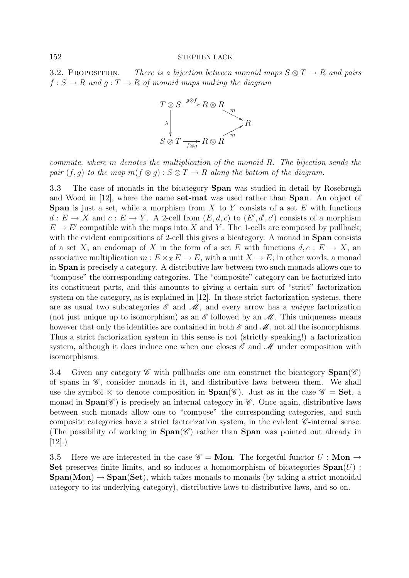3.2. PROPOSITION. There is a bijection between monoid maps  $S \otimes T \rightarrow R$  and pairs  $f : S \to R$  and  $g : T \to R$  of monoid maps making the diagram



commute, where m denotes the multiplication of the monoid R. The bijection sends the pair  $(f,g)$  to the map  $m(f \otimes g) : S \otimes T \to R$  along the bottom of the diagram.

3.3 The case of monads in the bicategory **Span** was studied in detail by Rosebrugh and Wood in [12], where the name **set-mat** was used rather than **Span**. An object of **Span** is just a set, while a morphism from  $X$  to  $Y$  consists of a set  $E$  with functions  $d: E \to X$  and  $c: E \to Y$ . A 2-cell from  $(E, d, c)$  to  $(E', d', c')$  consists of a morphism  $E \to E'$  compatible with the maps into X and Y. The 1-cells are composed by pullback; with the evident compositions of 2-cell this gives a bicategory. A monad in **Span** consists of a set X, an endomap of X in the form of a set E with functions  $d, c : E \to X$ , an associative multiplication  $m: E \times_X E \to E$ , with a unit  $X \to E$ ; in other words, a monad in **Span** is precisely a category. A distributive law between two such monads allows one to "compose" the corresponding categories. The "composite" category can be factorized into its constituent parts, and this amounts to giving a certain sort of "strict" factorization system on the category, as is explained in [12]. In these strict factorization systems, there are as usual two subcategories  $\mathscr E$  and  $\mathscr M$ , and every arrow has a *unique* factorization (not just unique up to isomorphism) as an *E* followed by an *M*. This uniqueness means however that only the identities are contained in both  $\mathscr E$  and  $\mathscr M$ , not all the isomorphisms. Thus a strict factorization system in this sense is not (strictly speaking!) a factorization system, although it does induce one when one closes  $\mathscr E$  and  $\mathscr M$  under composition with isomorphisms.

3.4 Given any category  $\mathscr C$  with pullbacks one can construct the bicategory  $\text{Span}(\mathscr C)$ of spans in  $\mathscr{C}$ , consider monads in it, and distributive laws between them. We shall use the symbol  $\otimes$  to denote composition in **Span**( $\mathscr{C}$ ). Just as in the case  $\mathscr{C} =$  **Set**, a monad in  $\text{Span}(\mathscr{C})$  is precisely an internal category in  $\mathscr{C}$ . Once again, distributive laws between such monads allow one to "compose" the corresponding categories, and such composite categories have a strict factorization system, in the evident *C* -internal sense. (The possibility of working in  $\text{Span}(\mathscr{C})$  rather than **Span** was pointed out already in  $[12]$ .)

3.5 Here we are interested in the case  $\mathscr{C} = \mathbf{Mon}$ . The forgetful functor  $U : \mathbf{Mon} \to$ **Set** preserves finite limits, and so induces a homomorphism of bicategories **Span**(U) :  $\text{Span}(\text{Mon}) \rightarrow \text{Span}(\text{Set})$ , which takes monads to monads (by taking a strict monoidal category to its underlying category), distributive laws to distributive laws, and so on.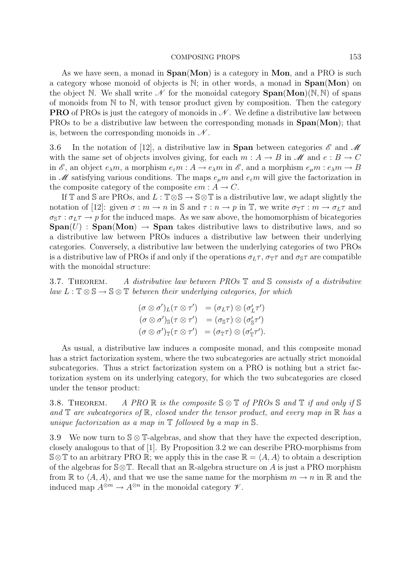As we have seen, a monad in **Span**(**Mon**) is a category in **Mon**, and a PRO is such a category whose monoid of objects is N; in other words, a monad in **Span**(**Mon**) on the object N. We shall write  $\mathcal N$  for the monoidal category **Span**(Mon)(N, N) of spans of monoids from  $\mathbb N$  to  $\mathbb N$ , with tensor product given by composition. Then the category **PRO** of PROs is just the category of monoids in *N*. We define a distributive law between PROs to be a distributive law between the corresponding monads in **Span**(**Mon**); that is, between the corresponding monoids in *N* .

3.6 In the notation of [12], a distributive law in **Span** between categories *E* and *M* with the same set of objects involves giving, for each  $m : A \to B$  in  $\mathcal M$  and  $e : B \to C$ in  $\mathscr E$ , an object  $e_\lambda m$ , a morphism  $e_\varepsilon m : A \to e_\lambda m$  in  $\mathscr E$ , and a morphism  $e_\mu m : e_\lambda m \to B$ in *M* satisfying various conditions. The maps  $e_{\mu}m$  and  $e_{\varepsilon}m$  will give the factorization in the composite category of the composite  $em: A \rightarrow C$ .

If T and S are PROs, and  $L : T \otimes S \to S \otimes T$  is a distributive law, we adapt slightly the notation of [12]: given  $\sigma : m \to n$  in S and  $\tau : n \to p$  in T, we write  $\sigma_{\mathbb{T}} \tau : m \to \sigma_L \tau$  and  $\sigma_{\mathbb{S}} \tau : \sigma_L \tau \to p$  for the induced maps. As we saw above, the homomorphism of bicategories  $\text{Span}(U)$  :  $\text{Span}(\text{Mon}) \rightarrow \text{Span}$  takes distributive laws to distributive laws, and so a distributive law between PROs induces a distributive law between their underlying categories. Conversely, a distributive law between the underlying categories of two PROs is a distributive law of PROs if and only if the operations  $\sigma_L \tau$ ,  $\sigma_{\mathbb{T}} \tau$  and  $\sigma_{\mathbb{S}} \tau$  are compatible with the monoidal structure:

3.7. THEOREM. A distributive law between  $PROs \mathbb{T}$  and  $\mathbb{S}$  consists of a distributive  $law L : \mathbb{T} \otimes \mathbb{S} \to \mathbb{S} \otimes \mathbb{T}$  between their underlying categories, for which

$$
(\sigma \otimes \sigma')_L(\tau \otimes \tau') = (\sigma_L \tau) \otimes (\sigma'_L \tau')
$$
  
\n
$$
(\sigma \otimes \sigma')_S(\tau \otimes \tau') = (\sigma_S \tau) \otimes (\sigma'_S \tau')
$$
  
\n
$$
(\sigma \otimes \sigma')_{\mathbb{T}}(\tau \otimes \tau') = (\sigma_{\mathbb{T}} \tau) \otimes (\sigma'_{\mathbb{T}} \tau').
$$

As usual, a distributive law induces a composite monad, and this composite monad has a strict factorization system, where the two subcategories are actually strict monoidal subcategories. Thus a strict factorization system on a PRO is nothing but a strict factorization system on its underlying category, for which the two subcategories are closed under the tensor product:

3.8. THEOREM. A PRO R is the composite  $\mathcal{S} \otimes \mathbb{T}$  of PROs  $\mathcal{S}$  and  $\mathbb{T}$  if and only if  $\mathcal{S}$ and  $\mathbb T$  are subcategories of  $\mathbb R$ , closed under the tensor product, and every map in  $\mathbb R$  has a unique factorization as a map in  $\mathbb T$  followed by a map in  $\mathbb S$ .

3.9 We now turn to  $\mathcal{S} \otimes \mathbb{T}$ -algebras, and show that they have the expected description, closely analogous to that of [1]. By Proposition 3.2 we can describe PRO-morphisms from  $\mathcal{S} \otimes \mathbb{T}$  to an arbitrary PRO R; we apply this in the case  $\mathbb{R} = \langle A, A \rangle$  to obtain a description of the algebras for  $\mathcal{S}\otimes\mathbb{T}$ . Recall that an R-algebra structure on A is just a PRO morphism from  $\mathbb R$  to  $\langle A, A \rangle$ , and that we use the same name for the morphism  $m \to n$  in  $\mathbb R$  and the induced map  $A^{\otimes m} \to A^{\otimes n}$  in the monoidal category  $\mathscr V$ .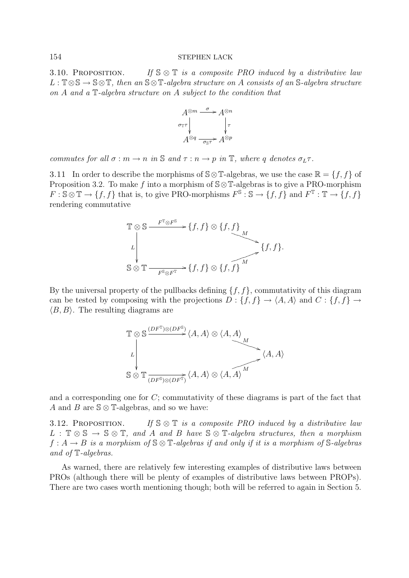3.10. PROPOSITION. If  $\mathbb{S} \otimes \mathbb{T}$  is a composite PRO induced by a distributive law  $L : \mathbb{T} \otimes \mathbb{S} \to \mathbb{S} \otimes \mathbb{T}$ , then an  $\mathbb{S} \otimes \mathbb{T}$ -algebra structure on A consists of an  $\mathbb{S}$ -algebra structure on A and a T-algebra structure on A subject to the condition that



commutes for all  $\sigma : m \to n$  in  $\mathbb S$  and  $\tau : n \to p$  in  $\mathbb T$ , where q denotes  $\sigma_L \tau$ .

3.11 In order to describe the morphisms of  $\mathcal{S} \otimes \mathbb{T}$ -algebras, we use the case  $\mathbb{R} = \{f, f\}$  of Proposition 3.2. To make f into a morphism of  $\mathcal{S} \otimes \mathbb{T}$ -algebras is to give a PRO-morphism  $F : \mathbb{S} \otimes \mathbb{T} \to \{f, f\}$  that is, to give PRO-morphisms  $F^{\mathbb{S}} : \mathbb{S} \to \{f, f\}$  and  $F^{\mathbb{T}} : \mathbb{T} \to \{f, f\}$ rendering commutative

$$
\mathbb{T} \otimes \mathbb{S} \xrightarrow{F^{\mathbb{T}} \otimes F^{\mathbb{S}}} \{f, f\} \otimes \{f, f\} \longrightarrow \{f, f\}.
$$
  

$$
\mathbb{S} \otimes \mathbb{T} \xrightarrow{F^{\mathbb{S}} \otimes F^{\mathbb{T}}} \{f, f\} \otimes \{f, \widehat{f}\}^M
$$
  

$$
\{f, f\}.
$$

By the universal property of the pullbacks defining  $\{f, f\}$ , commutativity of this diagram can be tested by composing with the projections  $D: \{f, f\} \to \langle A, A \rangle$  and  $C: \{f, f\} \to$  $\langle B,B \rangle$ . The resulting diagrams are

$$
\mathbb{T} \otimes \mathbb{S} \xrightarrow{(DF^{\mathbb{T}})\otimes (DF^{\mathbb{S}})} \langle A, A \rangle \otimes \langle A, A \rangle
$$
\n
$$
\downarrow
$$
\n
$$
\mathbb{S} \otimes \mathbb{T} \xrightarrow{(DF^{\mathbb{S}})\otimes (DF^{\mathbb{T}})} \langle A, A \rangle \otimes \langle A, A \rangle^M
$$
\n
$$
\langle A, A \rangle
$$

and a corresponding one for C; commutativity of these diagrams is part of the fact that A and B are  $\mathcal{S} \otimes \mathbb{T}$ -algebras, and so we have:

3.12. PROPOSITION. If  $\mathbb{S} \otimes \mathbb{T}$  is a composite PRO induced by a distributive law  $L : \mathbb{T} \otimes \mathbb{S} \to \mathbb{S} \otimes \mathbb{T}$ , and A and B have  $\mathbb{S} \otimes \mathbb{T}$ -algebra structures, then a morphism  $f: A \to B$  is a morphism of  $\mathbb{S} \otimes \mathbb{T}$ -algebras if and only if it is a morphism of  $\mathbb{S}$ -algebras and of T-algebras.

As warned, there are relatively few interesting examples of distributive laws between PROs (although there will be plenty of examples of distributive laws between PROPs). There are two cases worth mentioning though; both will be referred to again in Section 5.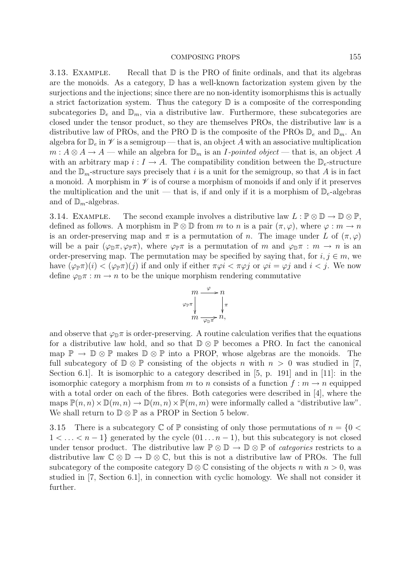3.13. EXAMPLE. Recall that  $\mathbb D$  is the PRO of finite ordinals, and that its algebras are the monoids. As a category, D has a well-known factorization system given by the surjections and the injections; since there are no non-identity isomorphisms this is actually a strict factorization system. Thus the category  $\mathbb D$  is a composite of the corresponding subcategories  $\mathbb{D}_e$  and  $\mathbb{D}_m$ , via a distributive law. Furthermore, these subcategories are closed under the tensor product, so they are themselves PROs, the distributive law is a distributive law of PROs, and the PRO  $\mathbb D$  is the composite of the PROs  $\mathbb D_e$  and  $\mathbb D_m$ . An algebra for  $\mathbb{D}_e$  in  $\mathscr V$  is a semigroup — that is, an object A with an associative multiplication  $m: A \otimes A \to A$  — while an algebra for  $\mathbb{D}_m$  is an *I-pointed object* — that is, an object A with an arbitrary map  $i: I \to A$ . The compatibility condition between the  $\mathbb{D}_e$ -structure and the  $\mathbb{D}_m$ -structure says precisely that i is a unit for the semigroup, so that A is in fact a monoid. A morphism in  $\mathscr V$  is of course a morphism of monoids if and only if it preserves the multiplication and the unit — that is, if and only if it is a morphism of  $\mathbb{D}_e$ -algebras and of  $\mathbb{D}_{m}$ -algebras.

3.14. EXAMPLE. The second example involves a distributive law  $L : \mathbb{P} \otimes \mathbb{D} \to \mathbb{D} \otimes \mathbb{P}$ , defined as follows. A morphism in  $\mathbb{P} \otimes \mathbb{D}$  from m to n is a pair  $(\pi, \varphi)$ , where  $\varphi : m \to n$ is an order-preserving map and  $\pi$  is a permutation of n. The image under L of  $(\pi,\varphi)$ will be a pair  $(\varphi_{\mathbb{D}} \pi, \varphi_{\mathbb{P}} \pi)$ , where  $\varphi_{\mathbb{P}} \pi$  is a permutation of m and  $\varphi_{\mathbb{D}} \pi : m \to n$  is an order-preserving map. The permutation may be specified by saying that, for  $i, j \in m$ , we have  $(\varphi_{\mathbb{P}}\pi)(i) < (\varphi_{\mathbb{P}}\pi)(j)$  if and only if either  $\pi\varphi i < \pi\varphi j$  or  $\varphi i = \varphi j$  and  $i < j$ . We now define  $\varphi_{\mathbb{D}} \pi : m \to n$  to be the unique morphism rendering commutative



and observe that  $\varphi_{\mathbb{D}}\pi$  is order-preserving. A routine calculation verifies that the equations for a distributive law hold, and so that  $\mathbb{D} \otimes \mathbb{P}$  becomes a PRO. In fact the canonical map  $\mathbb{P} \to \mathbb{D} \otimes \mathbb{P}$  makes  $\mathbb{D} \otimes \mathbb{P}$  into a PROP, whose algebras are the monoids. The full subcategory of  $\mathbb{D} \otimes \mathbb{P}$  consisting of the objects n with  $n > 0$  was studied in [7, Section 6.1]. It is isomorphic to a category described in [5, p. 191] and in [11]: in the isomorphic category a morphism from m to n consists of a function  $f : m \to n$  equipped with a total order on each of the fibres. Both categories were described in [4], where the maps  $\mathbb{P}(n,n)\times\mathbb{D}(m,n)\to\mathbb{D}(m,n)\times\mathbb{P}(m,m)$  were informally called a "distributive law". We shall return to  $\mathbb{D} \otimes \mathbb{P}$  as a PROP in Section 5 below.

3.15 There is a subcategory  $\mathbb C$  of  $\mathbb P$  consisting of only those permutations of  $n = \{0 \leq \mathbb R\}$  $1 < \ldots < n-1$ } generated by the cycle  $(01 \ldots n-1)$ , but this subcategory is not closed under tensor product. The distributive law  $\mathbb{P} \otimes \mathbb{D} \to \mathbb{D} \otimes \mathbb{P}$  of *categories* restricts to a distributive law  $\mathbb{C} \otimes \mathbb{D} \to \mathbb{D} \otimes \mathbb{C}$ , but this is not a distributive law of PROs. The full subcategory of the composite category  $\mathbb{D} \otimes \mathbb{C}$  consisting of the objects n with  $n > 0$ , was studied in [7, Section 6.1], in connection with cyclic homology. We shall not consider it further.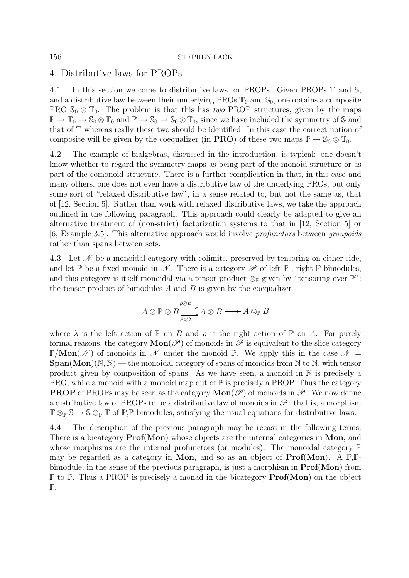# 4. Distributive laws for PROPs

4.1 In this section we come to distributive laws for PROPs. Given PROPs T and S, and a distributive law between their underlying PROs  $\mathbb{T}_0$  and  $\mathbb{S}_0$ , one obtains a composite PRO  $\mathbb{S}_0 \otimes \mathbb{T}_0$ . The problem is that this has two PROP structures, given by the maps  $\mathbb{P} \to \mathbb{T}_0 \to \mathbb{S}_0 \otimes \mathbb{T}_0$  and  $\mathbb{P} \to \mathbb{S}_0 \to \mathbb{S}_0 \otimes \mathbb{T}_0$ , since we have included the symmetry of S and that of T whereas really these two should be identified. In this case the correct notion of composite will be given by the coequalizer (in **PRO**) of these two maps  $\mathbb{P} \to \mathbb{S}_0 \otimes \mathbb{T}_0$ .

4.2 The example of bialgebras, discussed in the introduction, is typical: one doesn't know whether to regard the symmetry maps as being part of the monoid structure or as part of the comonoid structure. There is a further complication in that, in this case and many others, one does not even have a distributive law of the underlying PROs, but only some sort of "relaxed distributive law", in a sense related to, but not the same as, that of [12, Section 5]. Rather than work with relaxed distributive laws, we take the approach outlined in the following paragraph. This approach could clearly be adapted to give an alternative treatment of (non-strict) factorization systems to that in [12, Section 5] or [6, Example 3.5]. This alternative approach would involve profunctors between groupoids rather than spans between sets.

4.3 Let *N* be a monoidal category with colimits, preserved by tensoring on either side, and let  $\mathbb P$  be a fixed monoid in  $\mathscr N$ . There is a category  $\mathscr P$  of left  $\mathbb P$ -, right  $\mathbb P$ -bimodules, and this category is itself monoidal via a tensor product  $\otimes_{\mathbb{P}}$  given by "tensoring over  $\mathbb{P}$ ": the tensor product of bimodules  $A$  and  $B$  is given by the coequalizer

$$
A \otimes \mathbb{P} \otimes B \xrightarrow{P \otimes B} A \otimes B \longrightarrow A \otimes_{\mathbb{P}} B
$$

where  $\lambda$  is the left action of  $\mathbb P$  on B and  $\rho$  is the right action of  $\mathbb P$  on A. For purely formal reasons, the category  $\text{Mon}(\mathscr{P})$  of monoids in  $\mathscr{P}$  is equivalent to the slice category  $\mathbb{P}/\text{Mon}(\mathcal{N})$  of monoids in  $\mathcal{N}$  under the monoid  $\mathbb{P}$ . We apply this in the case  $\mathcal{N} =$  $\text{Span}(Mon)(\mathbb{N}, \mathbb{N})$  — the monoidal category of spans of monoids from  $\mathbb{N}$  to  $\mathbb{N}$ , with tensor product given by composition of spans. As we have seen, a monoid in  $\mathbb N$  is precisely a PRO, while a monoid with a monoid map out of  $\mathbb P$  is precisely a PROP. Thus the category **PROP** of PROPs may be seen as the category  $\text{Mon}(\mathscr{P})$  of monoids in  $\mathscr{P}$ . We now define a distributive law of PROPs to be a distributive law of monoids in  $\mathscr{P}$ : that is, a morphism  $\mathbb{T} \otimes_{\mathbb{P}} \mathbb{S} \to \mathbb{S} \otimes_{\mathbb{P}} \mathbb{T}$  of  $\mathbb{P}, \mathbb{P}$ -bimodules, satisfying the usual equations for distributive laws.

4.4 The description of the previous paragraph may be recast in the following terms. There is a bicategory **Prof**(**Mon**) whose objects are the internal categories in **Mon**, and whose morphisms are the internal profunctors (or modules). The monoidal category  $\mathbb P$ may be regarded as a category in **Mon**, and so as an object of **Prof**(**Mon**). A P,Pbimodule, in the sense of the previous paragraph, is just a morphism in **Prof**(**Mon**) from P to P. Thus a PROP is precisely a monad in the bicategory **Prof**(**Mon**) on the object P.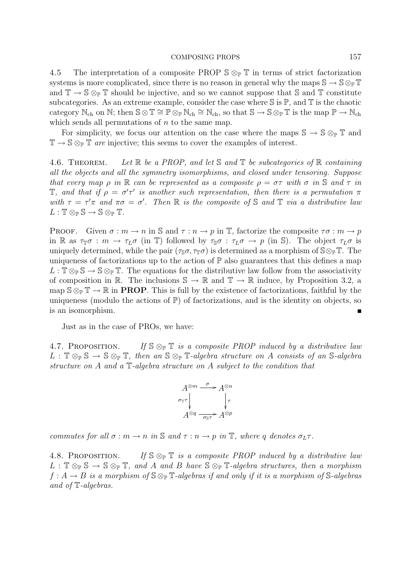4.5 The interpretation of a composite PROP  $\mathbb{S} \otimes_{\mathbb{P}} \mathbb{T}$  in terms of strict factorization systems is more complicated, since there is no reason in general why the maps  $\mathbb{S} \to \mathbb{S} \otimes_{\mathbb{P}} \mathbb{T}$ and  $\mathbb{T} \to \mathbb{S} \otimes_{\mathbb{P}} \mathbb{T}$  should be injective, and so we cannot suppose that S and T constitute subcategories. As an extreme example, consider the case where  $\mathbb S$  is  $\mathbb P$ , and  $\mathbb T$  is the chaotic category  $\mathbb{N}_{ch}$  on  $\mathbb{N}$ ; then  $\mathbb{S} \otimes \mathbb{T} \cong \mathbb{P} \otimes_{\mathbb{P}} \mathbb{N}_{ch} \cong \mathbb{N}_{ch}$ , so that  $\mathbb{S} \to \mathbb{S} \otimes_{\mathbb{P}} \mathbb{T}$  is the map  $\mathbb{P} \to \mathbb{N}_{ch}$ which sends all permutations of  $n$  to the same map.

For simplicity, we focus our attention on the case where the maps  $\mathbb{S} \to \mathbb{S} \otimes_{\mathbb{P}} \mathbb{T}$  and  $\mathbb{T} \to \mathbb{S} \otimes_{\mathbb{P}} \mathbb{T}$  are injective; this seems to cover the examples of interest.

4.6. THEOREM. Let  $\mathbb R$  be a PROP, and let  $\mathbb S$  and  $\mathbb T$  be subcategories of  $\mathbb R$  containing all the objects and all the symmetry isomorphisms, and closed under tensoring. Suppose that every map  $\rho$  in  $\mathbb R$  can be represented as a composite  $\rho = \sigma \tau$  with  $\sigma$  in  $\mathbb S$  and  $\tau$  in T, and that if  $\rho = \sigma' \tau'$  is another such representation, then there is a permutation  $\pi$ with  $\tau = \tau' \pi$  and  $\pi \sigma = \sigma'$ . Then R is the composite of S and T via a distributive law  $L: \mathbb{T} \otimes_{\mathbb{P}} \mathbb{S} \to \mathbb{S} \otimes_{\mathbb{P}} \mathbb{T}.$ 

**PROOF.** Given  $\sigma : m \to n$  in S and  $\tau : n \to p$  in T, factorize the composite  $\tau \sigma : m \to p$ in R as  $\tau_{\mathbb{T}}\sigma : m \to \tau_L\sigma$  (in T) followed by  $\tau_{\mathbb{S}}\sigma : \tau_L\sigma \to p$  (in S). The object  $\tau_L\sigma$  is uniquely determined, while the pair  $(\tau_{\mathbb{S}} \sigma, \tau_{\mathbb{F}} \sigma)$  is determined as a morphism of  $\mathbb{S} \otimes_{\mathbb{P}} \mathbb{T}$ . The uniqueness of factorizations up to the action of  $\mathbb P$  also guarantees that this defines a map  $L: \mathbb{T} \otimes_{\mathbb{P}} \mathbb{S} \to \mathbb{S} \otimes_{\mathbb{P}} \mathbb{T}$ . The equations for the distributive law follow from the associativity of composition in R. The inclusions  $\mathbb{S} \to \mathbb{R}$  and  $\mathbb{T} \to \mathbb{R}$  induce, by Proposition 3.2, a map  $\mathbb{S} \otimes_{\mathbb{P}} \mathbb{T} \to \mathbb{R}$  in **PROP**. This is full by the existence of factorizations, faithful by the uniqueness (modulo the actions of  $\mathbb{P}$ ) of factorizations, and is the identity on objects, so is an isomorphism.

Just as in the case of PROs, we have:

4.7. PROPOSITION. If  $\mathbb{S} \otimes_{\mathbb{P}} \mathbb{T}$  is a composite PROP induced by a distributive law  $L : \mathbb{T} \otimes_{\mathbb{P}} \mathbb{S} \to \mathbb{S} \otimes_{\mathbb{P}} \mathbb{T}$ , then an  $\mathbb{S} \otimes_{\mathbb{P}} \mathbb{T}$ -algebra structure on A consists of an S-algebra structure on A and a T-algebra structure on A subject to the condition that

$$
A^{\otimes m} \xrightarrow{\sigma} A^{\otimes n}
$$
  
\n
$$
\sigma_{\mathbb{T}} \uparrow \qquad \qquad \downarrow \tau
$$
  
\n
$$
A^{\otimes q} \xrightarrow{\sigma_{\mathbb{S}} \tau} A^{\otimes p}
$$

commutes for all  $\sigma : m \to n$  in  $\mathbb S$  and  $\tau : n \to p$  in  $\mathbb T$ , where q denotes  $\sigma_L \tau$ .

4.8. PROPOSITION. If  $\mathbb{S} \otimes_{\mathbb{P}} \mathbb{T}$  is a composite PROP induced by a distributive law  $L : \mathbb{T} \otimes_{\mathbb{P}} \mathbb{S} \to \mathbb{S} \otimes_{\mathbb{P}} \mathbb{T}$ , and A and B have  $\mathbb{S} \otimes_{\mathbb{P}} \mathbb{T}$ -algebra structures, then a morphism  $f: A \to B$  is a morphism of  $\mathbb{S} \otimes_{\mathbb{P}} \mathbb{T}$ -algebras if and only if it is a morphism of  $\mathbb{S}$ -algebras and of T-algebras.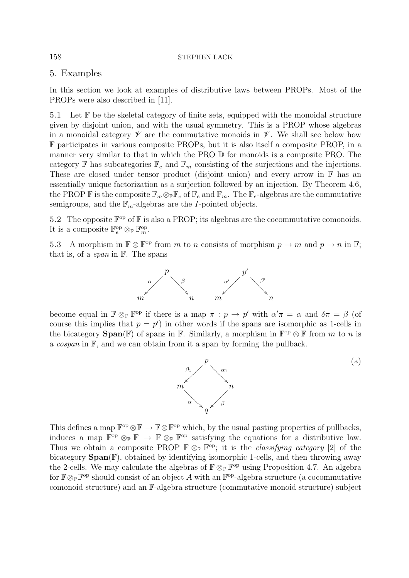# 5. Examples

In this section we look at examples of distributive laws between PROPs. Most of the PROPs were also described in [11].

5.1 Let  $\mathbb F$  be the skeletal category of finite sets, equipped with the monoidal structure given by disjoint union, and with the usual symmetry. This is a PROP whose algebras in a monoidal category  $\mathscr V$  are the commutative monoids in  $\mathscr V$ . We shall see below how F participates in various composite PROPs, but it is also itself a composite PROP, in a manner very similar to that in which the PRO D for monoids is a composite PRO. The category  $\mathbb F$  has subcategories  $\mathbb F_e$  and  $\mathbb F_m$  consisting of the surjections and the injections. These are closed under tensor product (disjoint union) and every arrow in F has an essentially unique factorization as a surjection followed by an injection. By Theorem 4.6, the PROP F is the composite  $\mathbb{F}_m \otimes_{\mathbb{F}} \mathbb{F}_e$  of  $\mathbb{F}_e$  and  $\mathbb{F}_m$ . The  $\mathbb{F}_e$ -algebras are the commutative semigroups, and the  $\mathbb{F}_m$ -algebras are the *I*-pointed objects.

5.2 The opposite  $\mathbb{F}^{\text{op}}$  of  $\mathbb{F}$  is also a PROP; its algebras are the cocommutative comonoids. It is a composite  $\mathbb{F}_e^{\text{op}} \otimes_{\mathbb{P}} \mathbb{F}_m^{\text{op}}$ .

5.3 A morphism in  $\mathbb{F} \otimes \mathbb{F}^{op}$  from m to n consists of morphism  $p \to m$  and  $p \to n$  in  $\mathbb{F}$ ; that is, of a *span* in  $\mathbb{F}$ . The spans



become equal in  $\mathbb{F} \otimes_{\mathbb{P}} \mathbb{F}^{op}$  if there is a map  $\pi : p \to p'$  with  $\alpha' \pi = \alpha$  and  $\delta \pi = \beta$  (of course this implies that  $p = p'$  in other words if the spans are isomorphic as 1-cells in the bicategory **Span**(F) of spans in F. Similarly, a morphism in  $\mathbb{F}^{\text{op}} \otimes \mathbb{F}$  from m to n is a cospan in F, and we can obtain from it a span by forming the pullback.



This defines a map  $\mathbb{F}^{op} \otimes \mathbb{F} \to \mathbb{F} \otimes \mathbb{F}^{op}$  which, by the usual pasting properties of pullbacks, induces a map  $\mathbb{F}^{op} \otimes_{\mathbb{P}} \mathbb{F} \to \mathbb{F} \otimes_{\mathbb{P}} \mathbb{F}^{op}$  satisfying the equations for a distributive law. Thus we obtain a composite PROP  $\mathbb{F} \otimes_{\mathbb{P}} \mathbb{F}^{op}$ ; it is the *classifying category* [2] of the bicategory **Span**(F), obtained by identifying isomorphic 1-cells, and then throwing away the 2-cells. We may calculate the algebras of  $\mathbb{F} \otimes_{\mathbb{P}} \mathbb{F}^{op}$  using Proposition 4.7. An algebra for  $\mathbb{F} \otimes_{\mathbb{P}} \mathbb{F}^{op}$  should consist of an object A with an  $\mathbb{F}^{op}$ -algebra structure (a cocommutative comonoid structure) and an F-algebra structure (commutative monoid structure) subject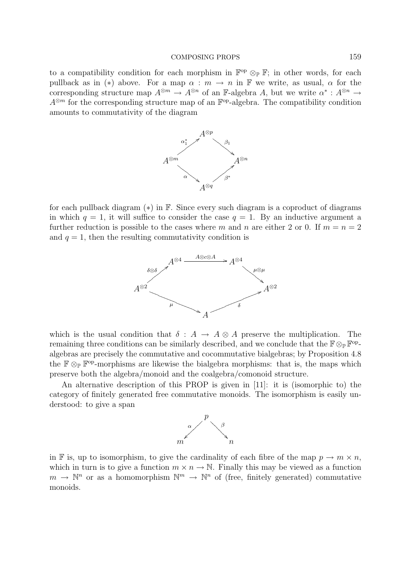to a compatibility condition for each morphism in  $\mathbb{F}^{op} \otimes_{\mathbb{P}} \mathbb{F}$ ; in other words, for each pullback as in (\*) above. For a map  $\alpha : m \to n$  in F we write, as usual,  $\alpha$  for the corresponding structure map  $A^{\otimes m} \to A^{\otimes n}$  of an F-algebra A, but we write  $\alpha^* : A^{\otimes n} \to$  $A^{\otimes m}$  for the corresponding structure map of an  $\mathbb{F}^{\text{op}}$ -algebra. The compatibility condition amounts to commutativity of the diagram



for each pullback diagram  $(*)$  in F. Since every such diagram is a coproduct of diagrams in which  $q = 1$ , it will suffice to consider the case  $q = 1$ . By an inductive argument a further reduction is possible to the cases where m and n are either 2 or 0. If  $m = n = 2$ and  $q = 1$ , then the resulting commutativity condition is



which is the usual condition that  $\delta : A \to A \otimes A$  preserve the multiplication. The remaining three conditions can be similarly described, and we conclude that the  $\mathbb{F} \otimes_{\mathbb{P}} \mathbb{F}^{op}$ algebras are precisely the commutative and cocommutative bialgebras; by Proposition 4.8 the  $\mathbb{F} \otimes_{\mathbb{P}} \mathbb{F}^{op}$ -morphisms are likewise the bialgebra morphisms: that is, the maps which preserve both the algebra/monoid and the coalgebra/comonoid structure.

An alternative description of this PROP is given in [11]: it is (isomorphic to) the category of finitely generated free commutative monoids. The isomorphism is easily understood: to give a span



in F is, up to isomorphism, to give the cardinality of each fibre of the map  $p \to m \times n$ , which in turn is to give a function  $m \times n \to \mathbb{N}$ . Finally this may be viewed as a function  $m \to \mathbb{N}^n$  or as a homomorphism  $\mathbb{N}^m \to \mathbb{N}^n$  of (free, finitely generated) commutative monoids.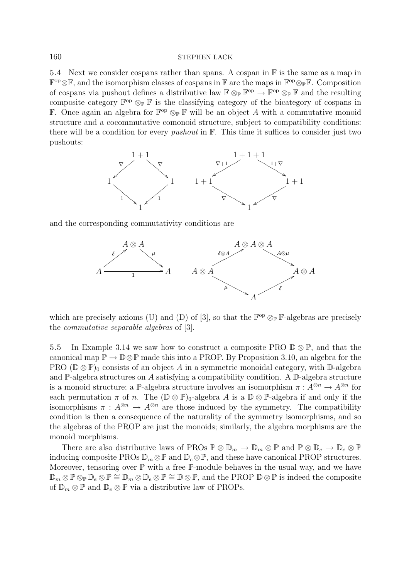5.4 Next we consider cospans rather than spans. A cospan in  $\mathbb F$  is the same as a map in  $\mathbb{F}^{\text{op}}\otimes\mathbb{F}$ , and the isomorphism classes of cospans in  $\mathbb{F}$  are the maps in  $\mathbb{F}^{\text{op}}\otimes_{\mathbb{F}}\mathbb{F}$ . Composition of cospans via pushout defines a distributive law  $\mathbb{F} \otimes_{\mathbb{P}} \mathbb{F}^{op} \to \mathbb{F}^{op} \otimes_{\mathbb{P}} \mathbb{F}$  and the resulting composite category  $\mathbb{F}^{\text{op}} \otimes_{\mathbb{P}} \mathbb{F}$  is the classifying category of the bicategory of cospans in **F.** Once again an algebra for  $\mathbb{F}^{\text{op}} \otimes_{\mathbb{P}} \mathbb{F}$  will be an object A with a commutative monoid structure and a cocommutative comonoid structure, subject to compatibility conditions: there will be a condition for every *pushout* in  $\mathbb{F}$ . This time it suffices to consider just two pushouts:



and the corresponding commutativity conditions are



which are precisely axioms (U) and (D) of [3], so that the  $\mathbb{F}^{\text{op}} \otimes_{\mathbb{P}} \mathbb{F}$ -algebras are precisely the commutative separable algebras of [3].

5.5 In Example 3.14 we saw how to construct a composite PRO  $\mathbb{D} \otimes \mathbb{P}$ , and that the canonical map  $\mathbb{P} \to \mathbb{D} \otimes \mathbb{P}$  made this into a PROP. By Proposition 3.10, an algebra for the PRO ( $\mathbb{D}\otimes\mathbb{P}$ )<sub>0</sub> consists of an object A in a symmetric monoidal category, with  $\mathbb{D}$ -algebra and  $\mathbb{P}\text{-algebra structures on }A$  satisfying a compatibility condition. A  $\mathbb{D}\text{-algebra structure}$ is a monoid structure; a P-algebra structure involves an isomorphism  $\pi : A^{\otimes n} \to A^{\otimes n}$  for each permutation  $\pi$  of n. The  $(\mathbb{D} \otimes \mathbb{P})_0$ -algebra A is a  $\mathbb{D} \otimes \mathbb{P}$ -algebra if and only if the isomorphisms  $\pi : A^{\otimes n} \to A^{\otimes n}$  are those induced by the symmetry. The compatibility condition is then a consequence of the naturality of the symmetry isomorphisms, and so the algebras of the PROP are just the monoids; similarly, the algebra morphisms are the monoid morphisms.

There are also distributive laws of PROs  $\mathbb{P}\otimes\mathbb{D}_m\to\mathbb{D}_m\otimes\mathbb{P}$  and  $\mathbb{P}\otimes\mathbb{D}_e\to\mathbb{D}_e\otimes\mathbb{P}$ inducing composite PROs  $\mathbb{D}_m \otimes \mathbb{P}$  and  $\mathbb{D}_e \otimes \mathbb{P}$ , and these have canonical PROP structures. Moreover, tensoring over  $\mathbb P$  with a free  $\mathbb P$ -module behaves in the usual way, and we have  $\mathbb{D}_m \otimes \mathbb{P} \otimes_{\mathbb{P}} \mathbb{D}_e \otimes \mathbb{P} \cong \mathbb{D}_m \otimes \mathbb{D}_e \otimes \mathbb{P} \cong \mathbb{D} \otimes \mathbb{P}$ , and the PROP  $\mathbb{D} \otimes \mathbb{P}$  is indeed the composite of  $\mathbb{D}_m \otimes \mathbb{P}$  and  $\mathbb{D}_e \otimes \mathbb{P}$  via a distributive law of PROPs.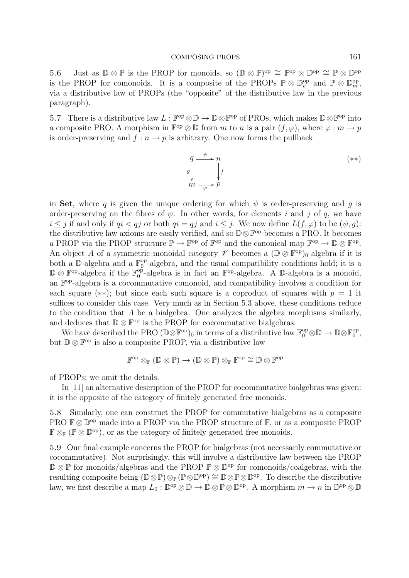5.6 Just as  $\mathbb{D} \otimes \mathbb{P}$  is the PROP for monoids, so  $(\mathbb{D} \otimes \mathbb{P})^{\text{op}} \cong \mathbb{P}^{\text{op}} \otimes \mathbb{D}^{\text{op}} \cong \mathbb{P} \otimes \mathbb{D}^{\text{op}}$ is the PROP for comonoids. It is a composite of the PROPs  $\mathbb{P} \otimes \mathbb{D}_e^{\text{op}}$  and  $\mathbb{P} \otimes \mathbb{D}_m^{\text{op}}$ , via a distributive law of PROPs (the "opposite" of the distributive law in the previous paragraph).

5.7 There is a distributive law  $L : \mathbb{F}^{\text{op}} \otimes \mathbb{D} \to \mathbb{D} \otimes \mathbb{F}^{\text{op}}$  of PROs, which makes  $\mathbb{D} \otimes \mathbb{F}^{\text{op}}$  into a composite PRO. A morphism in  $\mathbb{F}^{\text{op}} \otimes \mathbb{D}$  from m to n is a pair  $(f, \varphi)$ , where  $\varphi : m \to p$ is order-preserving and  $f: n \to p$  is arbitrary. One now forms the pullback



in **Set**, where q is given the unique ordering for which  $\psi$  is order-preserving and q is order-preserving on the fibres of  $\psi$ . In other words, for elements i and j of q, we have  $i \leq j$  if and only if  $qi < qj$  or both  $qi = qj$  and  $i \leq j$ . We now define  $L(f, \varphi)$  to be  $(\psi, g)$ : the distributive law axioms are easily verified, and so  $\mathbb{D}\otimes\mathbb{F}^{op}$  becomes a PRO. It becomes a PROP via the PROP structure  $\mathbb{P} \to \mathbb{F}^{op}$  of  $\mathbb{F}^{op}$  and the canonical map  $\mathbb{F}^{op} \to \mathbb{D} \otimes \mathbb{F}^{op}$ . An object A of a symmetric monoidal category  $\mathscr V$  becomes a  $(\mathbb{D} \otimes \mathbb{F}^{op})_0$ -algebra if it is both a  $\mathbb{D}$ -algebra and a  $\mathbb{F}_0^{\text{op}}$ -algebra, and the usual compatibility conditions hold; it is a D⊗  $\mathbb{F}^{\text{op}}$ -algebra if the  $\mathbb{F}_0^{\text{op}}$ -algebra is in fact an  $\mathbb{F}^{\text{op}}$ -algebra. A D-algebra is a monoid, an  $\mathbb{F}^{\text{op}}$ -algebra is a cocommutative comonoid, and compatibility involves a condition for each square (\*\*); but since each such square is a coproduct of squares with  $p = 1$  it suffices to consider this case. Very much as in Section 5.3 above, these conditions reduce to the condition that A be a bialgebra. One analyzes the algebra morphisms similarly, and deduces that  $\mathbb{D} \otimes \mathbb{F}^{op}$  is the PROP for cocommutative bialgebras.

We have described the PRO  $(\mathbb{D}\otimes \mathbb{F}^{\mathrm{op}})_0$  in terms of a distributive law  $\mathbb{F}_0^{\mathrm{op}}\otimes \mathbb{D}\to \mathbb{D}\otimes \mathbb{F}_0^{\mathrm{op}},$ but  $\mathbb{D} \otimes \mathbb{F}^{op}$  is also a composite PROP, via a distributive law

$$
\mathbb{F}^{\mathrm{op}} \otimes_{\mathbb{P}} (\mathbb{D} \otimes \mathbb{P}) \to (\mathbb{D} \otimes \mathbb{P}) \otimes_{\mathbb{P}} \mathbb{F}^{\mathrm{op}} \cong \mathbb{D} \otimes \mathbb{F}^{\mathrm{op}}
$$

of PROPs; we omit the details.

In [11] an alternative description of the PROP for cocommutative bialgebras was given: it is the opposite of the category of finitely generated free monoids.

5.8 Similarly, one can construct the PROP for commutative bialgebras as a composite PRO  $\mathbb{F} \otimes \mathbb{D}^{\text{op}}$  made into a PROP via the PROP structure of  $\mathbb{F}$ , or as a composite PROP  $\mathbb{F} \otimes_{\mathbb{P}} (\mathbb{P} \otimes \mathbb{D}^{\text{op}})$ , or as the category of finitely generated free monoids.

5.9 Our final example concerns the PROP for bialgebras (not necessarily commutative or cocommutative). Not surprisingly, this will involve a distributive law between the PROP  $\mathbb{D} \otimes \mathbb{P}$  for monoids/algebras and the PROP  $\mathbb{P} \otimes \mathbb{D}^{\text{op}}$  for comonoids/coalgebras, with the resulting composite being  $(\mathbb{D}\otimes\mathbb{P})\otimes_{\mathbb{P}}(\mathbb{P}\otimes\mathbb{D}^{\text{op}})\cong \mathbb{D}\otimes\mathbb{P}\otimes\mathbb{D}^{\text{op}}$ . To describe the distributive law, we first describe a map  $L_0 : \mathbb{D}^{\text{op}} \otimes \mathbb{D} \to \mathbb{D} \otimes \mathbb{P} \otimes \mathbb{D}^{\text{op}}$ . A morphism  $m \to n$  in  $\mathbb{D}^{\text{op}} \otimes \mathbb{D}$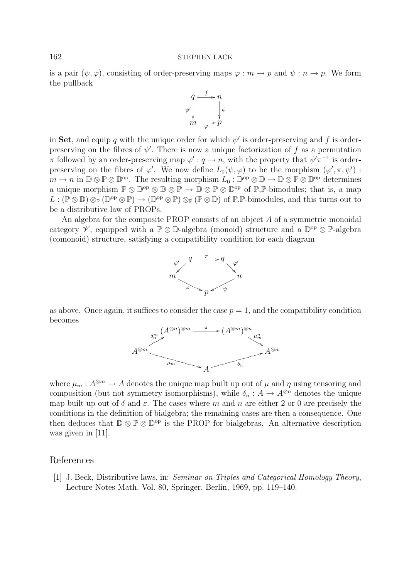is a pair  $(\psi, \varphi)$ , consisting of order-preserving maps  $\varphi : m \to p$  and  $\psi : n \to p$ . We form the pullback



in Set, and equip q with the unique order for which  $\psi'$  is order-preserving and f is orderpreserving on the fibres of  $\psi'$ . There is now a unique factorization of f as a permutation  $\pi$  followed by an order-preserving map  $\varphi': q \to n$ , with the property that  $\psi'\pi^{-1}$  is orderpreserving on the fibres of  $\varphi'$ . We now define  $L_0(\psi, \varphi)$  to be the morphism  $(\varphi', \pi, \psi')$ :  $m \to n$  in  $\mathbb{D} \otimes \mathbb{P} \otimes \mathbb{D}^{\text{op}}$ . The resulting morphism  $L_0: \mathbb{D}^{\text{op}} \otimes \mathbb{D} \to \mathbb{D} \otimes \mathbb{P} \otimes \mathbb{D}^{\text{op}}$  determines a unique morphism  $\mathbb{P} \otimes \mathbb{D}^{\text{op}} \otimes \mathbb{D} \otimes \mathbb{P} \to \mathbb{D} \otimes \mathbb{P} \otimes \mathbb{D}^{\text{op}}$  of  $\mathbb{P}, \mathbb{P}$ -bimodules; that is, a map  $L : (\mathbb{P} \otimes \mathbb{D}) \otimes_{\mathbb{P}} (\mathbb{D}^{\text{op}} \otimes \mathbb{P}) \to (\mathbb{D}^{\text{op}} \otimes \mathbb{P}) \otimes_{\mathbb{P}} (\mathbb{P} \otimes \mathbb{D})$  of  $\mathbb{P}, \mathbb{P}$ -bimodules, and this turns out to be a distributive law of PROPs.

An algebra for the composite PROP consists of an object A of a symmetric monoidal category  $\mathscr V$ , equipped with a  $\mathbb P \otimes \mathbb D$ -algebra (monoid) structure and a  $\mathbb D^{op} \otimes \mathbb P$ -algebra (comonoid) structure, satisfying a compatibility condition for each diagram



as above. Once again, it suffices to consider the case  $p = 1$ , and the compatibility condition becomes



where  $\mu_m : A^{\otimes m} \to A$  denotes the unique map built up out of  $\mu$  and  $\eta$  using tensoring and composition (but not symmetry isomorphisms), while  $\delta_n : A \to A^{\otimes n}$  denotes the unique map built up out of  $\delta$  and  $\varepsilon$ . The cases where m and n are either 2 or 0 are precisely the conditions in the definition of bialgebra; the remaining cases are then a consequence. One then deduces that  $\mathbb{D} \otimes \mathbb{P} \otimes \mathbb{D}^{op}$  is the PROP for bialgebras. An alternative description was given in [11].

### References

[1] J. Beck, Distributive laws, in: Seminar on Triples and Categorical Homology Theory, Lecture Notes Math. Vol. 80, Springer, Berlin, 1969, pp. 119–140.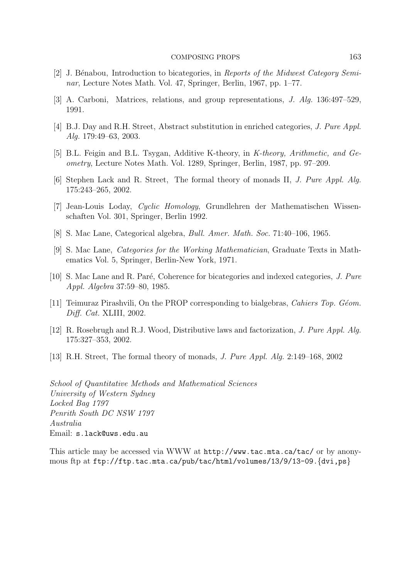- [2] J. Bénabou, Introduction to bicategories, in Reports of the Midwest Category Seminar, Lecture Notes Math. Vol. 47, Springer, Berlin, 1967, pp. 1–77.
- [3] A. Carboni, Matrices, relations, and group representations, J. Alg. 136:497–529, 1991.
- [4] B.J. Day and R.H. Street, Abstract substitution in enriched categories, J. Pure Appl. Alg. 179:49–63, 2003.
- [5] B.L. Feigin and B.L. Tsygan, Additive K-theory, in K-theory, Arithmetic, and Geometry, Lecture Notes Math. Vol. 1289, Springer, Berlin, 1987, pp. 97–209.
- [6] Stephen Lack and R. Street, The formal theory of monads II, J. Pure Appl. Alg. 175:243–265, 2002.
- [7] Jean-Louis Loday, Cyclic Homology, Grundlehren der Mathematischen Wissenschaften Vol. 301, Springer, Berlin 1992.
- [8] S. Mac Lane, Categorical algebra, Bull. Amer. Math. Soc. 71:40–106, 1965.
- [9] S. Mac Lane, Categories for the Working Mathematician, Graduate Texts in Mathematics Vol. 5, Springer, Berlin-New York, 1971.
- [10] S. Mac Lane and R. Paré, Coherence for bicategories and indexed categories, J. Pure Appl. Algebra 37:59–80, 1985.
- [11] Teimuraz Pirashvili, On the PROP corresponding to bialgebras, Cahiers Top. Géom. Diff. Cat. XLIII, 2002.
- [12] R. Rosebrugh and R.J. Wood, Distributive laws and factorization, J. Pure Appl. Alg. 175:327–353, 2002.
- [13] R.H. Street, The formal theory of monads, J. Pure Appl. Alg. 2:149–168, 2002

School of Quantitative Methods and Mathematical Sciences University of Western Sydney Locked Bag 1797 Penrith South DC NSW 1797 Australia Email: s.lack@uws.edu.au

This article may be accessed via WWW at http://www.tac.mta.ca/tac/ or by anonymous ftp at ftp://ftp.tac.mta.ca/pub/tac/html/volumes/13/9/13-09.{dvi,ps}